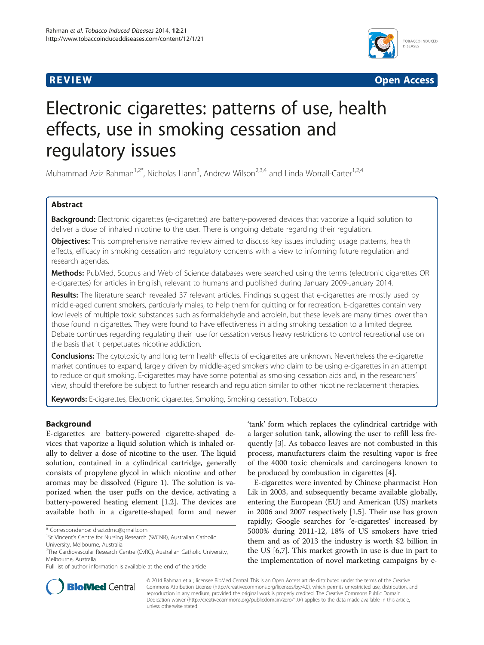



**REVIEW CONSTRUCTION CONSTRUCTION CONSTRUCTS** 

# Electronic cigarettes: patterns of use, health effects, use in smoking cessation and regulatory issues

Muhammad Aziz Rahman<sup>1,2\*</sup>, Nicholas Hann<sup>3</sup>, Andrew Wilson<sup>2,3,4</sup> and Linda Worrall-Carter<sup>1,2,4</sup>

# Abstract

Background: Electronic cigarettes (e-cigarettes) are battery-powered devices that vaporize a liquid solution to deliver a dose of inhaled nicotine to the user. There is ongoing debate regarding their regulation.

Objectives: This comprehensive narrative review aimed to discuss key issues including usage patterns, health effects, efficacy in smoking cessation and regulatory concerns with a view to informing future regulation and research agendas.

Methods: PubMed, Scopus and Web of Science databases were searched using the terms (electronic cigarettes OR e-cigarettes) for articles in English, relevant to humans and published during January 2009-January 2014.

Results: The literature search revealed 37 relevant articles. Findings suggest that e-cigarettes are mostly used by middle-aged current smokers, particularly males, to help them for quitting or for recreation. E-cigarettes contain very low levels of multiple toxic substances such as formaldehyde and acrolein, but these levels are many times lower than those found in cigarettes. They were found to have effectiveness in aiding smoking cessation to a limited degree. Debate continues regarding regulating their use for cessation versus heavy restrictions to control recreational use on the basis that it perpetuates nicotine addiction.

Conclusions: The cytotoxicity and long term health effects of e-cigarettes are unknown. Nevertheless the e-cigarette market continues to expand, largely driven by middle-aged smokers who claim to be using e-cigarettes in an attempt to reduce or quit smoking. E-cigarettes may have some potential as smoking cessation aids and, in the researchers' view, should therefore be subject to further research and regulation similar to other nicotine replacement therapies.

Keywords: E-cigarettes, Electronic cigarettes, Smoking, Smoking cessation, Tobacco

# Background

E-cigarettes are battery-powered cigarette-shaped devices that vaporize a liquid solution which is inhaled orally to deliver a dose of nicotine to the user. The liquid solution, contained in a cylindrical cartridge, generally consists of propylene glycol in which nicotine and other aromas may be dissolved (Figure [1](#page-1-0)). The solution is vaporized when the user puffs on the device, activating a battery-powered heating element [\[1,2](#page-7-0)]. The devices are available both in a cigarette-shaped form and newer

'tank' form which replaces the cylindrical cartridge with a larger solution tank, allowing the user to refill less frequently [[3\]](#page-7-0). As tobacco leaves are not combusted in this process, manufacturers claim the resulting vapor is free of the 4000 toxic chemicals and carcinogens known to be produced by combustion in cigarettes [[4\]](#page-7-0).

E-cigarettes were invented by Chinese pharmacist Hon Lik in 2003, and subsequently became available globally, entering the European (EU) and American (US) markets in 2006 and 2007 respectively [\[1](#page-7-0),[5](#page-7-0)]. Their use has grown rapidly; Google searches for 'e-cigarettes' increased by 5000% during 2011-12, 18% of US smokers have tried them and as of 2013 the industry is worth \$2 billion in the US [\[6,7](#page-7-0)]. This market growth in use is due in part to the implementation of novel marketing campaigns by e-



© 2014 Rahman et al.; licensee BioMed Central. This is an Open Access article distributed under the terms of the Creative Commons Attribution License [\(http://creativecommons.org/licenses/by/4.0\)](http://creativecommons.org/licenses/by/4.0), which permits unrestricted use, distribution, and reproduction in any medium, provided the original work is properly credited. The Creative Commons Public Domain Dedication waiver [\(http://creativecommons.org/publicdomain/zero/1.0/](http://creativecommons.org/publicdomain/zero/1.0/)) applies to the data made available in this article, unless otherwise stated.

<sup>\*</sup> Correspondence: [drazizdmc@gmail.com](mailto:drazizdmc@gmail.com) <sup>1</sup>

<sup>&</sup>lt;sup>1</sup>St Vincent's Centre for Nursing Research (SVCNR), Australian Catholic University, Melbourne, Australia

<sup>&</sup>lt;sup>2</sup>The Cardiovascular Research Centre (CvRC), Australian Catholic University, Melbourne, Australia

Full list of author information is available at the end of the article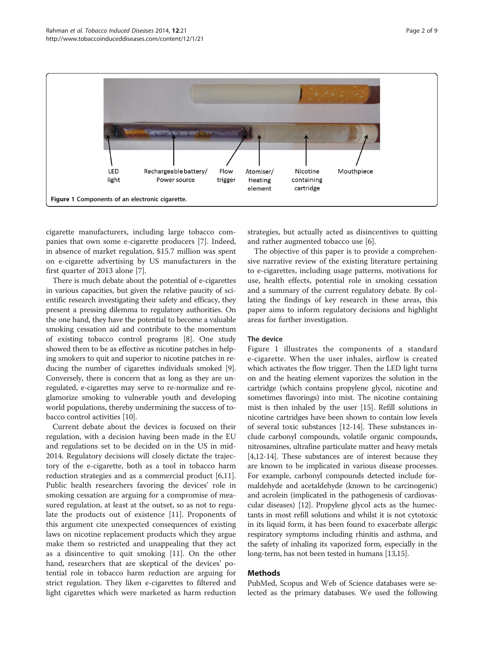

<span id="page-1-0"></span>

cigarette manufacturers, including large tobacco companies that own some e-cigarette producers [[7](#page-7-0)]. Indeed, in absence of market regulation, \$15.7 million was spent on e-cigarette advertising by US manufacturers in the first quarter of 2013 alone [[7\]](#page-7-0).

There is much debate about the potential of e-cigarettes in various capacities, but given the relative paucity of scientific research investigating their safety and efficacy, they present a pressing dilemma to regulatory authorities. On the one hand, they have the potential to become a valuable smoking cessation aid and contribute to the momentum of existing tobacco control programs [[8\]](#page-7-0). One study showed them to be as effective as nicotine patches in helping smokers to quit and superior to nicotine patches in reducing the number of cigarettes individuals smoked [[9](#page-7-0)]. Conversely, there is concern that as long as they are unregulated, e-cigarettes may serve to re-normalize and reglamorize smoking to vulnerable youth and developing world populations, thereby undermining the success of tobacco control activities [[10](#page-7-0)].

Current debate about the devices is focused on their regulation, with a decision having been made in the EU and regulations set to be decided on in the US in mid-2014. Regulatory decisions will closely dictate the trajectory of the e-cigarette, both as a tool in tobacco harm reduction strategies and as a commercial product [\[6,11](#page-7-0)]. Public health researchers favoring the devices' role in smoking cessation are arguing for a compromise of measured regulation, at least at the outset, so as not to regulate the products out of existence [[11\]](#page-7-0). Proponents of this argument cite unexpected consequences of existing laws on nicotine replacement products which they argue make them so restricted and unappealing that they act as a disincentive to quit smoking [[11\]](#page-7-0). On the other hand, researchers that are skeptical of the devices' potential role in tobacco harm reduction are arguing for strict regulation. They liken e-cigarettes to filtered and light cigarettes which were marketed as harm reduction

strategies, but actually acted as disincentives to quitting and rather augmented tobacco use [[6\]](#page-7-0).

The objective of this paper is to provide a comprehensive narrative review of the existing literature pertaining to e-cigarettes, including usage patterns, motivations for use, health effects, potential role in smoking cessation and a summary of the current regulatory debate. By collating the findings of key research in these areas, this paper aims to inform regulatory decisions and highlight areas for further investigation.

## The device

Figure 1 illustrates the components of a standard e-cigarette. When the user inhales, airflow is created which activates the flow trigger. Then the LED light turns on and the heating element vaporizes the solution in the cartridge (which contains propylene glycol, nicotine and sometimes flavorings) into mist. The nicotine containing mist is then inhaled by the user [[15](#page-8-0)]. Refill solutions in nicotine cartridges have been shown to contain low levels of several toxic substances [[12-14\]](#page-8-0). These substances include carbonyl compounds, volatile organic compounds, nitrosamines, ultrafine particulate matter and heavy metals [[4,](#page-7-0)[12](#page-8-0)-[14](#page-8-0)]. These substances are of interest because they are known to be implicated in various disease processes. For example, carbonyl compounds detected include formaldehyde and acetaldehyde (known to be carcinogenic) and acrolein (implicated in the pathogenesis of cardiovascular diseases) [\[12\]](#page-8-0). Propylene glycol acts as the humectants in most refill solutions and whilst it is not cytotoxic in its liquid form, it has been found to exacerbate allergic respiratory symptoms including rhinitis and asthma, and the safety of inhaling its vaporized form, especially in the long-term, has not been tested in humans [[13,15](#page-8-0)].

# Methods

PubMed, Scopus and Web of Science databases were selected as the primary databases. We used the following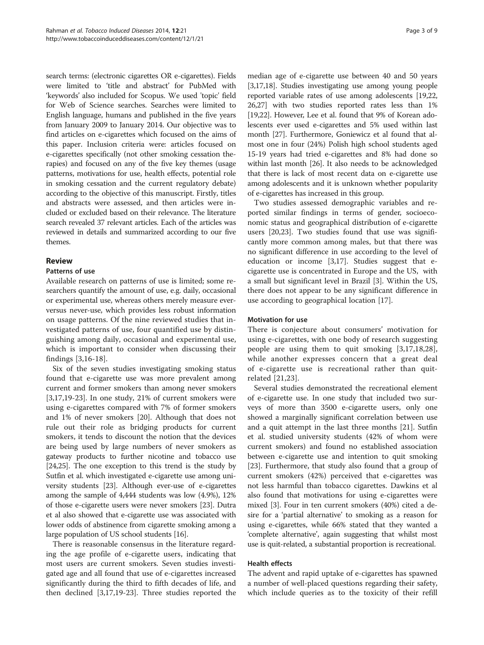search terms: (electronic cigarettes OR e-cigarettes). Fields were limited to 'title and abstract' for PubMed with 'keywords' also included for Scopus. We used 'topic' field for Web of Science searches. Searches were limited to English language, humans and published in the five years from January 2009 to January 2014. Our objective was to find articles on e-cigarettes which focused on the aims of this paper. Inclusion criteria were: articles focused on e-cigarettes specifically (not other smoking cessation therapies) and focused on any of the five key themes (usage patterns, motivations for use, health effects, potential role in smoking cessation and the current regulatory debate) according to the objective of this manuscript. Firstly, titles and abstracts were assessed, and then articles were included or excluded based on their relevance. The literature search revealed 37 relevant articles. Each of the articles was reviewed in details and summarized according to our five themes.

# Review

## Patterns of use

Available research on patterns of use is limited; some researchers quantify the amount of use, e.g. daily, occasional or experimental use, whereas others merely measure everversus never-use, which provides less robust information on usage patterns. Of the nine reviewed studies that investigated patterns of use, four quantified use by distinguishing among daily, occasional and experimental use, which is important to consider when discussing their findings [\[3](#page-7-0)[,16](#page-8-0)-[18](#page-8-0)].

Six of the seven studies investigating smoking status found that e-cigarette use was more prevalent among current and former smokers than among never smokers [[3,](#page-7-0)[17,19-23](#page-8-0)]. In one study, 21% of current smokers were using e-cigarettes compared with 7% of former smokers and 1% of never smokers [[20\]](#page-8-0). Although that does not rule out their role as bridging products for current smokers, it tends to discount the notion that the devices are being used by large numbers of never smokers as gateway products to further nicotine and tobacco use [[24,25](#page-8-0)]. The one exception to this trend is the study by Sutfin et al. which investigated e-cigarette use among university students [\[23\]](#page-8-0). Although ever-use of e-cigarettes among the sample of 4,444 students was low (4.9%), 12% of those e-cigarette users were never smokers [\[23\]](#page-8-0). Dutra et al also showed that e-cigarette use was associated with lower odds of abstinence from cigarette smoking among a large population of US school students [\[16\]](#page-8-0).

There is reasonable consensus in the literature regarding the age profile of e-cigarette users, indicating that most users are current smokers. Seven studies investigated age and all found that use of e-cigarettes increased significantly during the third to fifth decades of life, and then declined [[3](#page-7-0),[17](#page-8-0),[19](#page-8-0)-[23\]](#page-8-0). Three studies reported the

median age of e-cigarette use between 40 and 50 years [[3,](#page-7-0)[17,18\]](#page-8-0). Studies investigating use among young people reported variable rates of use among adolescents [\[19,22](#page-8-0), [26,27\]](#page-8-0) with two studies reported rates less than 1% [[19,22](#page-8-0)]. However, Lee et al. found that 9% of Korean adolescents ever used e-cigarettes and 5% used within last month [\[27\]](#page-8-0). Furthermore, Goniewicz et al found that almost one in four (24%) Polish high school students aged 15-19 years had tried e-cigarettes and 8% had done so within last month [\[26\]](#page-8-0). It also needs to be acknowledged that there is lack of most recent data on e-cigarette use among adolescents and it is unknown whether popularity of e-cigarettes has increased in this group.

Two studies assessed demographic variables and reported similar findings in terms of gender, socioeconomic status and geographical distribution of e-cigarette users [[20,23\]](#page-8-0). Two studies found that use was significantly more common among males, but that there was no significant difference in use according to the level of education or income [[3](#page-7-0),[17](#page-8-0)]. Studies suggest that ecigarette use is concentrated in Europe and the US, with a small but significant level in Brazil [\[3](#page-7-0)]. Within the US, there does not appear to be any significant difference in use according to geographical location [\[17](#page-8-0)].

#### Motivation for use

There is conjecture about consumers' motivation for using e-cigarettes, with one body of research suggesting people are using them to quit smoking [\[3](#page-7-0),[17,18,28](#page-8-0)], while another expresses concern that a great deal of e-cigarette use is recreational rather than quitrelated [[21](#page-8-0),[23\]](#page-8-0).

Several studies demonstrated the recreational element of e-cigarette use. In one study that included two surveys of more than 3500 e-cigarette users, only one showed a marginally significant correlation between use and a quit attempt in the last three months [\[21](#page-8-0)]. Sutfin et al. studied university students (42% of whom were current smokers) and found no established association between e-cigarette use and intention to quit smoking [[23\]](#page-8-0). Furthermore, that study also found that a group of current smokers (42%) perceived that e-cigarettes was not less harmful than tobacco cigarettes. Dawkins et al also found that motivations for using e-cigarettes were mixed [\[3\]](#page-7-0). Four in ten current smokers (40%) cited a desire for a 'partial alternative' to smoking as a reason for using e-cigarettes, while 66% stated that they wanted a 'complete alternative', again suggesting that whilst most use is quit-related, a substantial proportion is recreational.

## Health effects

The advent and rapid uptake of e-cigarettes has spawned a number of well-placed questions regarding their safety, which include queries as to the toxicity of their refill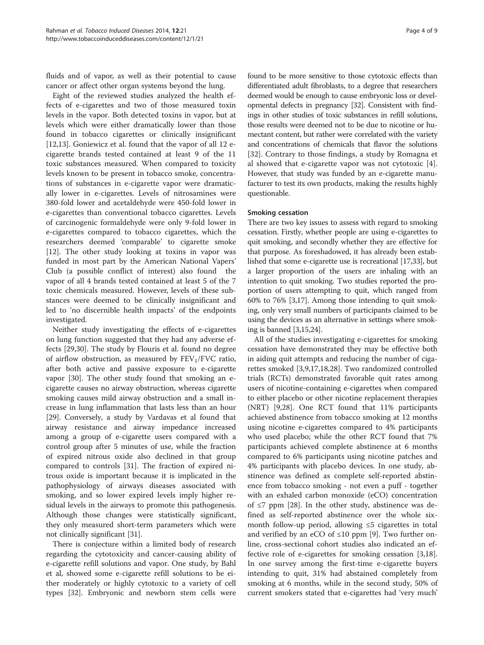fluids and of vapor, as well as their potential to cause cancer or affect other organ systems beyond the lung.

Eight of the reviewed studies analyzed the health effects of e-cigarettes and two of those measured toxin levels in the vapor. Both detected toxins in vapor, but at levels which were either dramatically lower than those found in tobacco cigarettes or clinically insignificant [[12,13\]](#page-8-0). Goniewicz et al. found that the vapor of all 12 ecigarette brands tested contained at least 9 of the 11 toxic substances measured. When compared to toxicity levels known to be present in tobacco smoke, concentrations of substances in e-cigarette vapor were dramatically lower in e-cigarettes. Levels of nitrosamines were 380-fold lower and acetaldehyde were 450-fold lower in e-cigarettes than conventional tobacco cigarettes. Levels of carcinogenic formaldehyde were only 9-fold lower in e-cigarettes compared to tobacco cigarettes, which the researchers deemed 'comparable' to cigarette smoke [[12\]](#page-8-0). The other study looking at toxins in vapor was funded in most part by the American National Vapers' Club (a possible conflict of interest) also found the vapor of all 4 brands tested contained at least 5 of the 7 toxic chemicals measured. However, levels of these substances were deemed to be clinically insignificant and led to 'no discernible health impacts' of the endpoints investigated.

Neither study investigating the effects of e-cigarettes on lung function suggested that they had any adverse effects [[29,30\]](#page-8-0). The study by Flouris et al. found no degree of airflow obstruction, as measured by  $FEV<sub>1</sub>/FVC$  ratio, after both active and passive exposure to e-cigarette vapor [\[30](#page-8-0)]. The other study found that smoking an ecigarette causes no airway obstruction, whereas cigarette smoking causes mild airway obstruction and a small increase in lung inflammation that lasts less than an hour [[29\]](#page-8-0). Conversely, a study by Vardavas et al found that airway resistance and airway impedance increased among a group of e-cigarette users compared with a control group after 5 minutes of use, while the fraction of expired nitrous oxide also declined in that group compared to controls [\[31](#page-8-0)]. The fraction of expired nitrous oxide is important because it is implicated in the pathophysiology of airways diseases associated with smoking, and so lower expired levels imply higher residual levels in the airways to promote this pathogenesis. Although those changes were statistically significant, they only measured short-term parameters which were not clinically significant [[31\]](#page-8-0).

There is conjecture within a limited body of research regarding the cytotoxicity and cancer-causing ability of e-cigarette refill solutions and vapor. One study, by Bahl et al, showed some e-cigarette refill solutions to be either moderately or highly cytotoxic to a variety of cell types [[32\]](#page-8-0). Embryonic and newborn stem cells were

found to be more sensitive to those cytotoxic effects than differentiated adult fibroblasts, to a degree that researchers deemed would be enough to cause embryonic loss or developmental defects in pregnancy [\[32\]](#page-8-0). Consistent with findings in other studies of toxic substances in refill solutions, those results were deemed not to be due to nicotine or humectant content, but rather were correlated with the variety and concentrations of chemicals that flavor the solutions [[32\]](#page-8-0). Contrary to those findings, a study by Romagna et al showed that e-cigarette vapor was not cytotoxic [\[4](#page-7-0)]. However, that study was funded by an e-cigarette manufacturer to test its own products, making the results highly questionable.

## Smoking cessation

There are two key issues to assess with regard to smoking cessation. Firstly, whether people are using e-cigarettes to quit smoking, and secondly whether they are effective for that purpose. As foreshadowed, it has already been established that some e-cigarette use is recreational [[17,33](#page-8-0)], but a larger proportion of the users are inhaling with an intention to quit smoking. Two studies reported the proportion of users attempting to quit, which ranged from 60% to 76% [[3,](#page-7-0)[17](#page-8-0)]. Among those intending to quit smoking, only very small numbers of participants claimed to be using the devices as an alternative in settings where smoking is banned [[3](#page-7-0)[,15,24\]](#page-8-0).

All of the studies investigating e-cigarettes for smoking cessation have demonstrated they may be effective both in aiding quit attempts and reducing the number of cigarettes smoked [[3,9,](#page-7-0)[17,18,28\]](#page-8-0). Two randomized controlled trials (RCTs) demonstrated favorable quit rates among users of nicotine-containing e-cigarettes when compared to either placebo or other nicotine replacement therapies (NRT) [\[9,](#page-7-0)[28\]](#page-8-0). One RCT found that 11% participants achieved abstinence from tobacco smoking at 12 months using nicotine e-cigarettes compared to 4% participants who used placebo; while the other RCT found that 7% participants achieved complete abstinence at 6 months compared to 6% participants using nicotine patches and 4% participants with placebo devices. In one study, abstinence was defined as complete self-reported abstinence from tobacco smoking - not even a puff - together with an exhaled carbon monoxide (eCO) concentration of ≤7 ppm [[28\]](#page-8-0). In the other study, abstinence was defined as self-reported abstinence over the whole sixmonth follow-up period, allowing ≤5 cigarettes in total and verified by an eCO of  $\leq 10$  ppm [[9\]](#page-7-0). Two further online, cross-sectional cohort studies also indicated an effective role of e-cigarettes for smoking cessation [\[3](#page-7-0)[,18](#page-8-0)]. In one survey among the first-time e-cigarette buyers intending to quit, 31% had abstained completely from smoking at 6 months, while in the second study, 50% of current smokers stated that e-cigarettes had 'very much'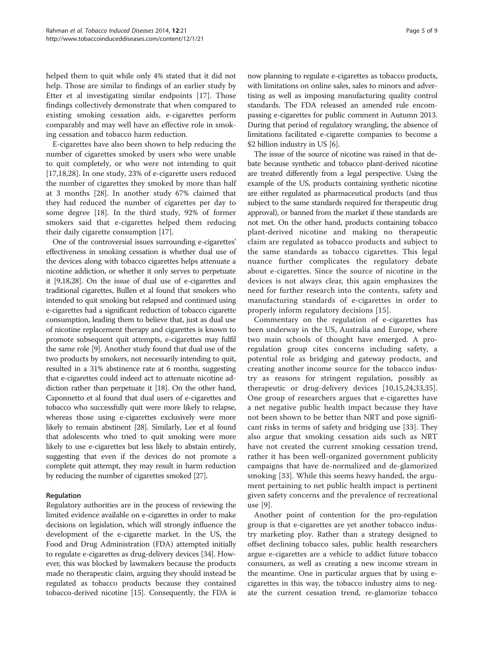helped them to quit while only 4% stated that it did not help. Those are similar to findings of an earlier study by Etter et al investigating similar endpoints [\[17\]](#page-8-0). Those findings collectively demonstrate that when compared to existing smoking cessation aids, e-cigarettes perform comparably and may well have an effective role in smoking cessation and tobacco harm reduction.

E-cigarettes have also been shown to help reducing the number of cigarettes smoked by users who were unable to quit completely, or who were not intending to quit [[17,18,28\]](#page-8-0). In one study, 23% of e-cigarette users reduced the number of cigarettes they smoked by more than half at 3 months [[28](#page-8-0)]. In another study 67% claimed that they had reduced the number of cigarettes per day to some degree [\[18\]](#page-8-0). In the third study, 92% of former smokers said that e-cigarettes helped them reducing their daily cigarette consumption [[17](#page-8-0)].

One of the controversial issues surrounding e-cigarettes' effectiveness in smoking cessation is whether dual use of the devices along with tobacco cigarettes helps attenuate a nicotine addiction, or whether it only serves to perpetuate it [[9](#page-7-0)[,18,28](#page-8-0)]. On the issue of dual use of e-cigarettes and traditional cigarettes, Bullen et al found that smokers who intended to quit smoking but relapsed and continued using e-cigarettes had a significant reduction of tobacco cigarette consumption, leading them to believe that, just as dual use of nicotine replacement therapy and cigarettes is known to promote subsequent quit attempts, e-cigarettes may fulfil the same role [[9](#page-7-0)]. Another study found that dual use of the two products by smokers, not necessarily intending to quit, resulted in a 31% abstinence rate at 6 months, suggesting that e-cigarettes could indeed act to attenuate nicotine addiction rather than perpetuate it [[18](#page-8-0)]. On the other hand, Caponnetto et al found that dual users of e-cigarettes and tobacco who successfully quit were more likely to relapse, whereas those using e-cigarettes exclusively were more likely to remain abstinent [\[28\]](#page-8-0). Similarly, Lee et al found that adolescents who tried to quit smoking were more likely to use e-cigarettes but less likely to abstain entirely, suggesting that even if the devices do not promote a complete quit attempt, they may result in harm reduction by reducing the number of cigarettes smoked [\[27\]](#page-8-0).

# Regulation

Regulatory authorities are in the process of reviewing the limited evidence available on e-cigarettes in order to make decisions on legislation, which will strongly influence the development of the e-cigarette market. In the US, the Food and Drug Administration (FDA) attempted initially to regulate e-cigarettes as drug-delivery devices [\[34\]](#page-8-0). However, this was blocked by lawmakers because the products made no therapeutic claim, arguing they should instead be regulated as tobacco products because they contained tobacco-derived nicotine [\[15\]](#page-8-0). Consequently, the FDA is

now planning to regulate e-cigarettes as tobacco products, with limitations on online sales, sales to minors and advertising as well as imposing manufacturing quality control standards. The FDA released an amended rule encompassing e-cigarettes for public comment in Autumn 2013. During that period of regulatory wrangling, the absence of limitations facilitated e-cigarette companies to become a \$2 billion industry in US [\[6](#page-7-0)].

The issue of the source of nicotine was raised in that debate because synthetic and tobacco plant-derived nicotine are treated differently from a legal perspective. Using the example of the US, products containing synthetic nicotine are either regulated as pharmaceutical products (and thus subject to the same standards required for therapeutic drug approval), or banned from the market if these standards are not met. On the other hand, products containing tobacco plant-derived nicotine and making no therapeutic claim are regulated as tobacco products and subject to the same standards as tobacco cigarettes. This legal nuance further complicates the regulatory debate about e-cigarettes. Since the source of nicotine in the devices is not always clear, this again emphasizes the need for further research into the contents, safety and manufacturing standards of e-cigarettes in order to properly inform regulatory decisions [[15\]](#page-8-0).

Commentary on the regulation of e-cigarettes has been underway in the US, Australia and Europe, where two main schools of thought have emerged. A proregulation group cites concerns including safety, a potential role as bridging and gateway products, and creating another income source for the tobacco industry as reasons for stringent regulation, possibly as therapeutic or drug-delivery devices [\[10](#page-7-0)[,15](#page-8-0),[24,33,35](#page-8-0)]. One group of researchers argues that e-cigarettes have a net negative public health impact because they have not been shown to be better than NRT and pose significant risks in terms of safety and bridging use [\[33](#page-8-0)]. They also argue that smoking cessation aids such as NRT have not created the current smoking cessation trend, rather it has been well-organized government publicity campaigns that have de-normalized and de-glamorized smoking [\[33](#page-8-0)]. While this seems heavy handed, the argument pertaining to net public health impact is pertinent given safety concerns and the prevalence of recreational use [[9\]](#page-7-0).

Another point of contention for the pro-regulation group is that e-cigarettes are yet another tobacco industry marketing ploy. Rather than a strategy designed to offset declining tobacco sales, public health researchers argue e-cigarettes are a vehicle to addict future tobacco consumers, as well as creating a new income stream in the meantime. One in particular argues that by using ecigarettes in this way, the tobacco industry aims to negate the current cessation trend, re-glamorize tobacco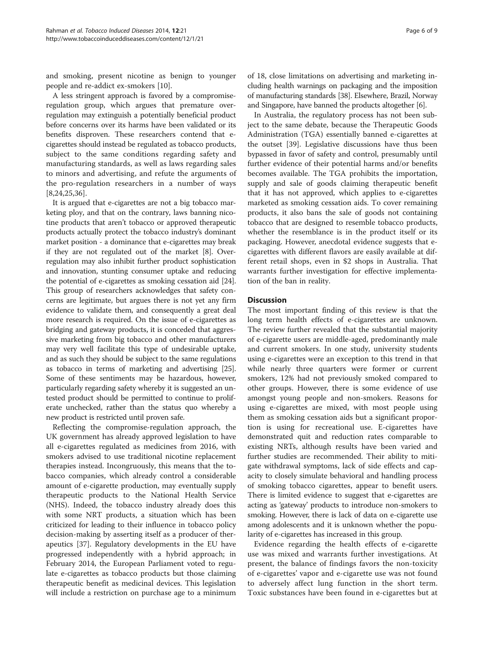and smoking, present nicotine as benign to younger people and re-addict ex-smokers [[10\]](#page-7-0).

A less stringent approach is favored by a compromiseregulation group, which argues that premature overregulation may extinguish a potentially beneficial product before concerns over its harms have been validated or its benefits disproven. These researchers contend that ecigarettes should instead be regulated as tobacco products, subject to the same conditions regarding safety and manufacturing standards, as well as laws regarding sales to minors and advertising, and refute the arguments of the pro-regulation researchers in a number of ways [[8](#page-7-0)[,24,25](#page-8-0),[36\]](#page-8-0).

It is argued that e-cigarettes are not a big tobacco marketing ploy, and that on the contrary, laws banning nicotine products that aren't tobacco or approved therapeutic products actually protect the tobacco industry's dominant market position - a dominance that e-cigarettes may break if they are not regulated out of the market [\[8](#page-7-0)]. Overregulation may also inhibit further product sophistication and innovation, stunting consumer uptake and reducing the potential of e-cigarettes as smoking cessation aid [[24](#page-8-0)]. This group of researchers acknowledges that safety concerns are legitimate, but argues there is not yet any firm evidence to validate them, and consequently a great deal more research is required. On the issue of e-cigarettes as bridging and gateway products, it is conceded that aggressive marketing from big tobacco and other manufacturers may very well facilitate this type of undesirable uptake, and as such they should be subject to the same regulations as tobacco in terms of marketing and advertising [[25](#page-8-0)]. Some of these sentiments may be hazardous, however, particularly regarding safety whereby it is suggested an untested product should be permitted to continue to proliferate unchecked, rather than the status quo whereby a new product is restricted until proven safe.

Reflecting the compromise-regulation approach, the UK government has already approved legislation to have all e-cigarettes regulated as medicines from 2016, with smokers advised to use traditional nicotine replacement therapies instead. Incongruously, this means that the tobacco companies, which already control a considerable amount of e-cigarette production, may eventually supply therapeutic products to the National Health Service (NHS). Indeed, the tobacco industry already does this with some NRT products, a situation which has been criticized for leading to their influence in tobacco policy decision-making by asserting itself as a producer of therapeutics [\[37](#page-8-0)]. Regulatory developments in the EU have progressed independently with a hybrid approach; in February 2014, the European Parliament voted to regulate e-cigarettes as tobacco products but those claiming therapeutic benefit as medicinal devices. This legislation will include a restriction on purchase age to a minimum

of 18, close limitations on advertising and marketing including health warnings on packaging and the imposition of manufacturing standards [\[38](#page-8-0)]. Elsewhere, Brazil, Norway and Singapore, have banned the products altogether [[6](#page-7-0)].

In Australia, the regulatory process has not been subject to the same debate, because the Therapeutic Goods Administration (TGA) essentially banned e-cigarettes at the outset [[39](#page-8-0)]. Legislative discussions have thus been bypassed in favor of safety and control, presumably until further evidence of their potential harms and/or benefits becomes available. The TGA prohibits the importation, supply and sale of goods claiming therapeutic benefit that it has not approved, which applies to e-cigarettes marketed as smoking cessation aids. To cover remaining products, it also bans the sale of goods not containing tobacco that are designed to resemble tobacco products, whether the resemblance is in the product itself or its packaging. However, anecdotal evidence suggests that ecigarettes with different flavors are easily available at different retail shops, even in \$2 shops in Australia. That warrants further investigation for effective implementation of the ban in reality.

## **Discussion**

The most important finding of this review is that the long term health effects of e-cigarettes are unknown. The review further revealed that the substantial majority of e-cigarette users are middle-aged, predominantly male and current smokers. In one study, university students using e-cigarettes were an exception to this trend in that while nearly three quarters were former or current smokers, 12% had not previously smoked compared to other groups. However, there is some evidence of use amongst young people and non-smokers. Reasons for using e-cigarettes are mixed, with most people using them as smoking cessation aids but a significant proportion is using for recreational use. E-cigarettes have demonstrated quit and reduction rates comparable to existing NRTs, although results have been varied and further studies are recommended. Their ability to mitigate withdrawal symptoms, lack of side effects and capacity to closely simulate behavioral and handling process of smoking tobacco cigarettes, appear to benefit users. There is limited evidence to suggest that e-cigarettes are acting as 'gateway' products to introduce non-smokers to smoking. However, there is lack of data on e-cigarette use among adolescents and it is unknown whether the popularity of e-cigarettes has increased in this group.

Evidence regarding the health effects of e-cigarette use was mixed and warrants further investigations. At present, the balance of findings favors the non-toxicity of e-cigarettes' vapor and e-cigarette use was not found to adversely affect lung function in the short term. Toxic substances have been found in e-cigarettes but at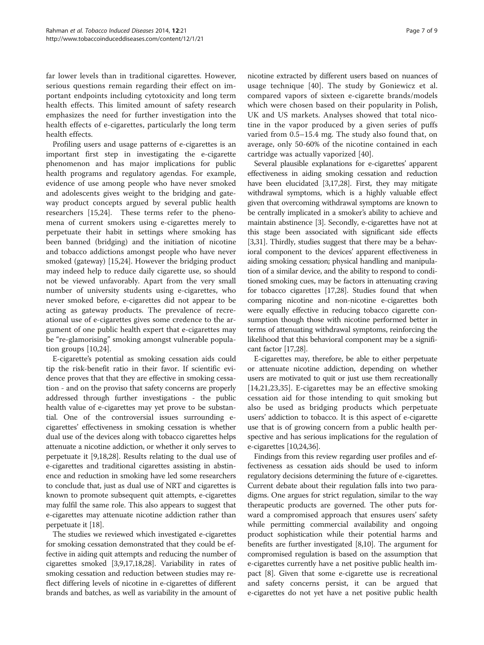far lower levels than in traditional cigarettes. However, serious questions remain regarding their effect on important endpoints including cytotoxicity and long term health effects. This limited amount of safety research emphasizes the need for further investigation into the health effects of e-cigarettes, particularly the long term health effects.

Profiling users and usage patterns of e-cigarettes is an important first step in investigating the e-cigarette phenomenon and has major implications for public health programs and regulatory agendas. For example, evidence of use among people who have never smoked and adolescents gives weight to the bridging and gateway product concepts argued by several public health researchers [[15,24\]](#page-8-0). These terms refer to the phenomena of current smokers using e-cigarettes merely to perpetuate their habit in settings where smoking has been banned (bridging) and the initiation of nicotine and tobacco addictions amongst people who have never smoked (gateway) [\[15,24\]](#page-8-0). However the bridging product may indeed help to reduce daily cigarette use, so should not be viewed unfavorably. Apart from the very small number of university students using e-cigarettes, who never smoked before, e-cigarettes did not appear to be acting as gateway products. The prevalence of recreational use of e-cigarettes gives some credence to the argument of one public health expert that e-cigarettes may be "re-glamorising" smoking amongst vulnerable population groups [[10,](#page-7-0)[24\]](#page-8-0).

E-cigarette's potential as smoking cessation aids could tip the risk-benefit ratio in their favor. If scientific evidence proves that that they are effective in smoking cessation - and on the proviso that safety concerns are properly addressed through further investigations - the public health value of e-cigarettes may yet prove to be substantial. One of the controversial issues surrounding ecigarettes' effectiveness in smoking cessation is whether dual use of the devices along with tobacco cigarettes helps attenuate a nicotine addiction, or whether it only serves to perpetuate it [[9,](#page-7-0)[18,28](#page-8-0)]. Results relating to the dual use of e-cigarettes and traditional cigarettes assisting in abstinence and reduction in smoking have led some researchers to conclude that, just as dual use of NRT and cigarettes is known to promote subsequent quit attempts, e-cigarettes may fulfil the same role. This also appears to suggest that e-cigarettes may attenuate nicotine addiction rather than perpetuate it [\[18\]](#page-8-0).

The studies we reviewed which investigated e-cigarettes for smoking cessation demonstrated that they could be effective in aiding quit attempts and reducing the number of cigarettes smoked [\[3,9](#page-7-0)[,17,18,28\]](#page-8-0). Variability in rates of smoking cessation and reduction between studies may reflect differing levels of nicotine in e-cigarettes of different brands and batches, as well as variability in the amount of

nicotine extracted by different users based on nuances of usage technique [[40\]](#page-8-0). The study by Goniewicz et al. compared vapors of sixteen e-cigarette brands/models which were chosen based on their popularity in Polish, UK and US markets. Analyses showed that total nicotine in the vapor produced by a given series of puffs varied from 0.5–15.4 mg. The study also found that, on average, only 50-60% of the nicotine contained in each cartridge was actually vaporized [\[40](#page-8-0)].

Several plausible explanations for e-cigarettes' apparent effectiveness in aiding smoking cessation and reduction have been elucidated [\[3,](#page-7-0)[17,28\]](#page-8-0). First, they may mitigate withdrawal symptoms, which is a highly valuable effect given that overcoming withdrawal symptoms are known to be centrally implicated in a smoker's ability to achieve and maintain abstinence [\[3\]](#page-7-0). Secondly, e-cigarettes have not at this stage been associated with significant side effects [[3](#page-7-0)[,31](#page-8-0)]. Thirdly, studies suggest that there may be a behavioral component to the devices' apparent effectiveness in aiding smoking cessation; physical handling and manipulation of a similar device, and the ability to respond to conditioned smoking cues, may be factors in attenuating craving for tobacco cigarettes [[17,28\]](#page-8-0). Studies found that when comparing nicotine and non-nicotine e-cigarettes both were equally effective in reducing tobacco cigarette consumption though those with nicotine performed better in terms of attenuating withdrawal symptoms, reinforcing the likelihood that this behavioral component may be a significant factor [[17,28\]](#page-8-0).

E-cigarettes may, therefore, be able to either perpetuate or attenuate nicotine addiction, depending on whether users are motivated to quit or just use them recreationally [[14,21,23](#page-8-0),[35\]](#page-8-0). E-cigarettes may be an effective smoking cessation aid for those intending to quit smoking but also be used as bridging products which perpetuate users' addiction to tobacco. It is this aspect of e-cigarette use that is of growing concern from a public health perspective and has serious implications for the regulation of e-cigarettes [\[10,](#page-7-0)[24,36](#page-8-0)].

Findings from this review regarding user profiles and effectiveness as cessation aids should be used to inform regulatory decisions determining the future of e-cigarettes. Current debate about their regulation falls into two paradigms. One argues for strict regulation, similar to the way therapeutic products are governed. The other puts forward a compromised approach that ensures users' safety while permitting commercial availability and ongoing product sophistication while their potential harms and benefits are further investigated [\[8,10\]](#page-7-0). The argument for compromised regulation is based on the assumption that e-cigarettes currently have a net positive public health impact [\[8\]](#page-7-0). Given that some e-cigarette use is recreational and safety concerns persist, it can be argued that e-cigarettes do not yet have a net positive public health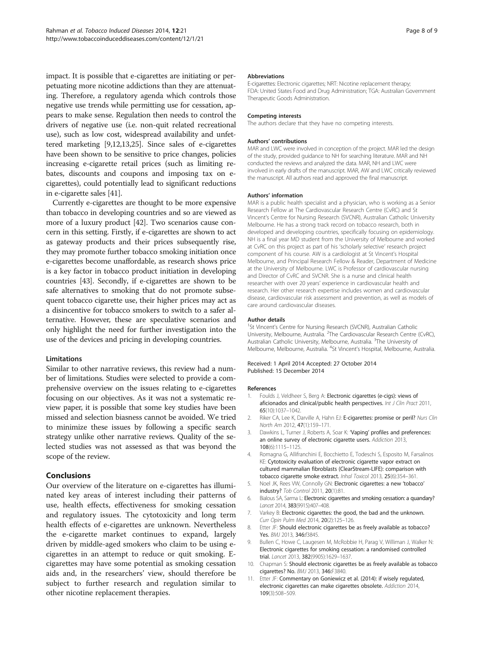<span id="page-7-0"></span>impact. It is possible that e-cigarettes are initiating or perpetuating more nicotine addictions than they are attenuating. Therefore, a regulatory agenda which controls those negative use trends while permitting use for cessation, appears to make sense. Regulation then needs to control the drivers of negative use (i.e. non-quit related recreational use), such as low cost, widespread availability and unfettered marketing [9[,12,13,25](#page-8-0)]. Since sales of e-cigarettes have been shown to be sensitive to price changes, policies increasing e-cigarette retail prices (such as limiting rebates, discounts and coupons and imposing tax on ecigarettes), could potentially lead to significant reductions in e-cigarette sales [[41](#page-8-0)].

Currently e-cigarettes are thought to be more expensive than tobacco in developing countries and so are viewed as more of a luxury product [\[42\]](#page-8-0). Two scenarios cause concern in this setting. Firstly, if e-cigarettes are shown to act as gateway products and their prices subsequently rise, they may promote further tobacco smoking initiation once e-cigarettes become unaffordable, as research shows price is a key factor in tobacco product initiation in developing countries [\[43\]](#page-8-0). Secondly, if e-cigarettes are shown to be safe alternatives to smoking that do not promote subsequent tobacco cigarette use, their higher prices may act as a disincentive for tobacco smokers to switch to a safer alternative. However, these are speculative scenarios and only highlight the need for further investigation into the use of the devices and pricing in developing countries.

## Limitations

Similar to other narrative reviews, this review had a number of limitations. Studies were selected to provide a comprehensive overview on the issues relating to e-cigarettes focusing on our objectives. As it was not a systematic review paper, it is possible that some key studies have been missed and selection biasness cannot be avoided. We tried to minimize these issues by following a specific search strategy unlike other narrative reviews. Quality of the selected studies was not assessed as that was beyond the scope of the review.

## Conclusions

Our overview of the literature on e-cigarettes has illuminated key areas of interest including their patterns of use, health effects, effectiveness for smoking cessation and regulatory issues. The cytotoxicity and long term health effects of e-cigarettes are unknown. Nevertheless the e-cigarette market continues to expand, largely driven by middle-aged smokers who claim to be using ecigarettes in an attempt to reduce or quit smoking. Ecigarettes may have some potential as smoking cessation aids and, in the researchers' view, should therefore be subject to further research and regulation similar to other nicotine replacement therapies.

#### **Abbreviations**

E-cigarettes: Electronic cigarettes; NRT: Nicotine replacement therapy; FDA: United States Food and Drug Administration; TGA: Australian Government Therapeutic Goods Administration.

#### Competing interests

The authors declare that they have no competing interests.

#### Authors' contributions

MAR and LWC were involved in conception of the project. MAR led the design of the study, provided guidance to NH for searching literature. MAR and NH conducted the reviews and analyzed the data. MAR, NH and LWC were involved in early drafts of the manuscript. MAR, AW and LWC critically reviewed the manuscript. All authors read and approved the final manuscript.

#### Authors' information

MAR is a public health specialist and a physician, who is working as a Senior Research Fellow at The Cardiovascular Research Centre (CvRC) and St Vincent's Centre for Nursing Research (SVCNR), Australian Catholic University Melbourne. He has a strong track record on tobacco research, both in developed and developing countries, specifically focusing on epidemiology. NH is a final year MD student from the University of Melbourne and worked at CvRC on this project as part of his 'scholarly selective' research project component of his course. AW is a cardiologist at St Vincent's Hospital Melbourne, and Principal Research Fellow & Reader, Department of Medicine at the University of Melbourne. LWC is Professor of cardiovascular nursing and Director of CvRC and SVCNR. She is a nurse and clinical health researcher with over 20 years' experience in cardiovascular health and research. Her other research expertise includes women and cardiovascular disease, cardiovascular risk assessment and prevention, as well as models of care around cardiovascular diseases.

#### Author details

<sup>1</sup>St Vincent's Centre for Nursing Research (SVCNR), Australian Catholic University, Melbourne, Australia. <sup>2</sup>The Cardiovascular Research Centre (CvRC) Australian Catholic University, Melbourne, Australia. <sup>3</sup>The University of Melbourne, Melbourne, Australia. <sup>4</sup>St Vincent's Hospital, Melbourne, Australia.

#### Received: 1 April 2014 Accepted: 27 October 2014 Published: 15 December 2014

#### References

- 1. Foulds J, Veldheer S, Berg A: Electronic cigarettes (e-cigs): views of aficionados and clinical/public health perspectives. Int J Clin Pract 2011, 65(10):1037–1042.
- 2. Riker CA, Lee K, Darville A, Hahn EJ: E-cigarettes: promise or peril? Nurs Clin North Am 2012, 47(1):159–171.
- 3. Dawkins L, Turner J, Roberts A, Soar K: 'Vaping' profiles and preferences: an online survey of electronic cigarette users. Addiction 2013, 108(6):1115–1125.
- 4. Romagna G, Allifranchini E, Bocchietto E, Todeschi S, Esposito M, Farsalinos KE: Cytotoxicity evaluation of electronic cigarette vapor extract on cultured mammalian fibroblasts (ClearStream-LIFE): comparison with tobacco cigarette smoke extract. Inhal Toxicol 2013, 25(6):354–361.
- 5. Noel JK, Rees VW, Connolly GN: Electronic cigarettes: a new 'tobacco' industry? Tob Control 2011, 20(1):81.
- 6. Bialous SA, Sarma L: Electronic cigarettes and smoking cessation: a quandary? Lancet 2014, 383(9915):407–408.
- 7. Varkey B: Electronic cigarettes: the good, the bad and the unknown. Curr Opin Pulm Med 2014, 20(2):125–126.
- 8. Etter JF: Should electronic cigarettes be as freely available as tobacco? Yes. BMJ 2013, 346:f3845.
- 9. Bullen C, Howe C, Laugesen M, McRobbie H, Parag V, Williman J, Walker N: Electronic cigarettes for smoking cessation: a randomised controlled trial. Lancet 2013, 382(9905):1629–1637.
- 10. Chapman S: Should electronic cigarettes be as freely available as tobacco cigarettes? No. BMJ 2013, 346:F3840.
- 11. Etter JF: Commentary on Goniewicz et al. (2014): if wisely regulated, electronic cigarettes can make cigarettes obsolete. Addiction 2014, 109(3):508–509.